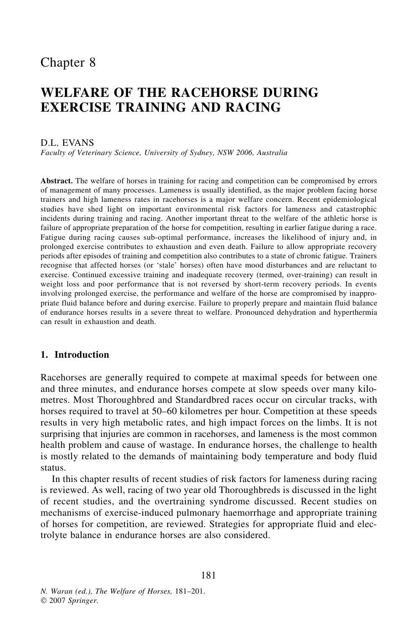# Chapter 8

# **WELFARE OF THE RACEHORSE DURING EXERCISE TRAINING AND RACING**

#### D.L. EVANS

*Faculty of Veterinary Science, University of Sydney, NSW 2006, Australia*

**Abstract.** The welfare of horses in training for racing and competition can be compromised by errors of management of many processes. Lameness is usually identified, as the major problem facing horse trainers and high lameness rates in racehorses is a major welfare concern. Recent epidemiological studies have shed light on important environmental risk factors for lameness and catastrophic incidents during training and racing. Another important threat to the welfare of the athletic horse is failure of appropriate preparation of the horse for competition, resulting in earlier fatigue during a race. Fatigue during racing causes sub-optimal performance, increases the likelihood of injury and, in prolonged exercise contributes to exhaustion and even death. Failure to allow appropriate recovery periods after episodes of training and competition also contributes to a state of chronic fatigue. Trainers recognise that affected horses (or 'stale' horses) often have mood disturbances and are reluctant to exercise. Continued excessive training and inadequate recovery (termed, over-training) can result in weight loss and poor performance that is not reversed by short-term recovery periods. In events involving prolonged exercise, the performance and welfare of the horse are compromised by inappropriate fluid balance before and during exercise. Failure to properly prepare and maintain fluid balance of endurance horses results in a severe threat to welfare. Pronounced dehydration and hyperthermia can result in exhaustion and death.

# **1. Introduction**

Racehorses are generally required to compete at maximal speeds for between one and three minutes, and endurance horses compete at slow speeds over many kilometres. Most Thoroughbred and Standardbred races occur on circular tracks, with horses required to travel at 50–60 kilometres per hour. Competition at these speeds results in very high metabolic rates, and high impact forces on the limbs. It is not surprising that injuries are common in racehorses, and lameness is the most common health problem and cause of wastage. In endurance horses, the challenge to health is mostly related to the demands of maintaining body temperature and body fluid status.

In this chapter results of recent studies of risk factors for lameness during racing is reviewed. As well, racing of two year old Thoroughbreds is discussed in the light of recent studies, and the overtraining syndrome discussed. Recent studies on mechanisms of exercise-induced pulmonary haemorrhage and appropriate training of horses for competition, are reviewed. Strategies for appropriate fluid and electrolyte balance in endurance horses are also considered.

*N. Waran (ed.), The Welfare of Horses,* 181–201. © 2007 *Springer.*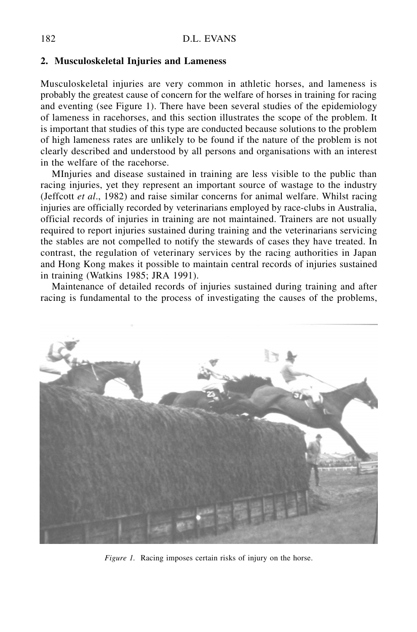#### **2. Musculoskeletal Injuries and Lameness**

Musculoskeletal injuries are very common in athletic horses, and lameness is probably the greatest cause of concern for the welfare of horses in training for racing and eventing (see Figure 1). There have been several studies of the epidemiology of lameness in racehorses, and this section illustrates the scope of the problem. It is important that studies of this type are conducted because solutions to the problem of high lameness rates are unlikely to be found if the nature of the problem is not clearly described and understood by all persons and organisations with an interest in the welfare of the racehorse.

MInjuries and disease sustained in training are less visible to the public than racing injuries, yet they represent an important source of wastage to the industry (Jeffcott *et al*., 1982) and raise similar concerns for animal welfare. Whilst racing injuries are officially recorded by veterinarians employed by race-clubs in Australia, official records of injuries in training are not maintained. Trainers are not usually required to report injuries sustained during training and the veterinarians servicing the stables are not compelled to notify the stewards of cases they have treated. In contrast, the regulation of veterinary services by the racing authorities in Japan and Hong Kong makes it possible to maintain central records of injuries sustained in training (Watkins 1985; JRA 1991).

Maintenance of detailed records of injuries sustained during training and after racing is fundamental to the process of investigating the causes of the problems,



*Figure 1.* Racing imposes certain risks of injury on the horse.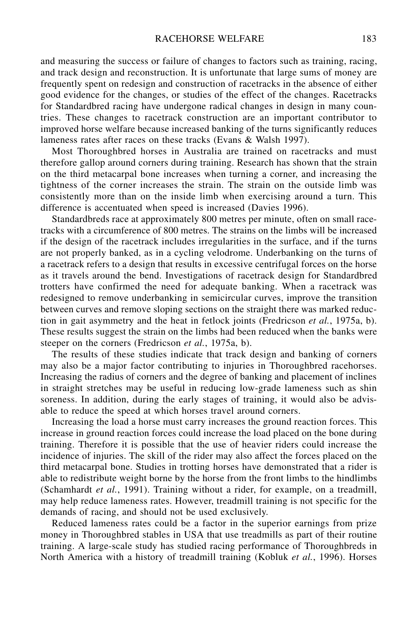and measuring the success or failure of changes to factors such as training, racing, and track design and reconstruction. It is unfortunate that large sums of money are frequently spent on redesign and construction of racetracks in the absence of either good evidence for the changes, or studies of the effect of the changes. Racetracks for Standardbred racing have undergone radical changes in design in many countries. These changes to racetrack construction are an important contributor to improved horse welfare because increased banking of the turns significantly reduces lameness rates after races on these tracks (Evans & Walsh 1997).

Most Thoroughbred horses in Australia are trained on racetracks and must therefore gallop around corners during training. Research has shown that the strain on the third metacarpal bone increases when turning a corner, and increasing the tightness of the corner increases the strain. The strain on the outside limb was consistently more than on the inside limb when exercising around a turn. This difference is accentuated when speed is increased (Davies 1996).

Standardbreds race at approximately 800 metres per minute, often on small racetracks with a circumference of 800 metres. The strains on the limbs will be increased if the design of the racetrack includes irregularities in the surface, and if the turns are not properly banked, as in a cycling velodrome. Underbanking on the turns of a racetrack refers to a design that results in excessive centrifugal forces on the horse as it travels around the bend. Investigations of racetrack design for Standardbred trotters have confirmed the need for adequate banking. When a racetrack was redesigned to remove underbanking in semicircular curves, improve the transition between curves and remove sloping sections on the straight there was marked reduction in gait asymmetry and the heat in fetlock joints (Fredricson *et al.*, 1975a, b). These results suggest the strain on the limbs had been reduced when the banks were steeper on the corners (Fredricson *et al.*, 1975a, b).

The results of these studies indicate that track design and banking of corners may also be a major factor contributing to injuries in Thoroughbred racehorses. Increasing the radius of corners and the degree of banking and placement of inclines in straight stretches may be useful in reducing low-grade lameness such as shin soreness. In addition, during the early stages of training, it would also be advisable to reduce the speed at which horses travel around corners.

Increasing the load a horse must carry increases the ground reaction forces. This increase in ground reaction forces could increase the load placed on the bone during training. Therefore it is possible that the use of heavier riders could increase the incidence of injuries. The skill of the rider may also affect the forces placed on the third metacarpal bone. Studies in trotting horses have demonstrated that a rider is able to redistribute weight borne by the horse from the front limbs to the hindlimbs (Schamhardt *et al.*, 1991). Training without a rider, for example, on a treadmill, may help reduce lameness rates. However, treadmill training is not specific for the demands of racing, and should not be used exclusively.

Reduced lameness rates could be a factor in the superior earnings from prize money in Thoroughbred stables in USA that use treadmills as part of their routine training. A large-scale study has studied racing performance of Thoroughbreds in North America with a history of treadmill training (Kobluk *et al.*, 1996). Horses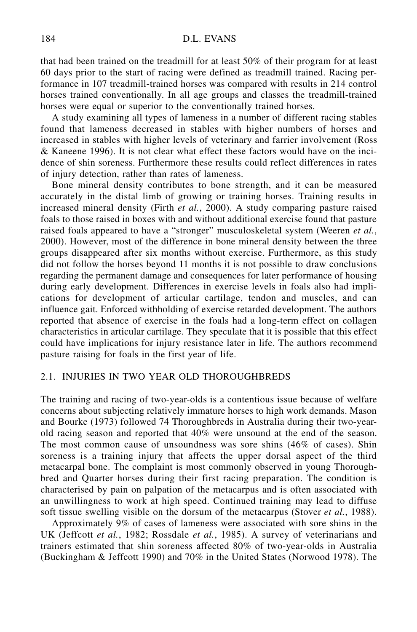#### 184 D.L. EVANS

that had been trained on the treadmill for at least 50% of their program for at least 60 days prior to the start of racing were defined as treadmill trained. Racing performance in 107 treadmill-trained horses was compared with results in 214 control horses trained conventionally. In all age groups and classes the treadmill-trained horses were equal or superior to the conventionally trained horses.

A study examining all types of lameness in a number of different racing stables found that lameness decreased in stables with higher numbers of horses and increased in stables with higher levels of veterinary and farrier involvement (Ross & Kaneene 1996). It is not clear what effect these factors would have on the incidence of shin soreness. Furthermore these results could reflect differences in rates of injury detection, rather than rates of lameness.

Bone mineral density contributes to bone strength, and it can be measured accurately in the distal limb of growing or training horses. Training results in increased mineral density (Firth *et al.*, 2000). A study comparing pasture raised foals to those raised in boxes with and without additional exercise found that pasture raised foals appeared to have a "stronger" musculoskeletal system (Weeren *et al.*, 2000). However, most of the difference in bone mineral density between the three groups disappeared after six months without exercise. Furthermore, as this study did not follow the horses beyond 11 months it is not possible to draw conclusions regarding the permanent damage and consequences for later performance of housing during early development. Differences in exercise levels in foals also had implications for development of articular cartilage, tendon and muscles, and can influence gait. Enforced withholding of exercise retarded development. The authors reported that absence of exercise in the foals had a long-term effect on collagen characteristics in articular cartilage. They speculate that it is possible that this effect could have implications for injury resistance later in life. The authors recommend pasture raising for foals in the first year of life.

# 2.1. INJURIES IN TWO YEAR OLD THOROUGHBREDS

The training and racing of two-year-olds is a contentious issue because of welfare concerns about subjecting relatively immature horses to high work demands. Mason and Bourke (1973) followed 74 Thoroughbreds in Australia during their two-yearold racing season and reported that 40% were unsound at the end of the season. The most common cause of unsoundness was sore shins (46% of cases). Shin soreness is a training injury that affects the upper dorsal aspect of the third metacarpal bone. The complaint is most commonly observed in young Thoroughbred and Quarter horses during their first racing preparation. The condition is characterised by pain on palpation of the metacarpus and is often associated with an unwillingness to work at high speed. Continued training may lead to diffuse soft tissue swelling visible on the dorsum of the metacarpus (Stover *et al.*, 1988).

Approximately 9% of cases of lameness were associated with sore shins in the UK (Jeffcott *et al.*, 1982; Rossdale *et al.*, 1985). A survey of veterinarians and trainers estimated that shin soreness affected 80% of two-year-olds in Australia (Buckingham & Jeffcott 1990) and 70% in the United States (Norwood 1978). The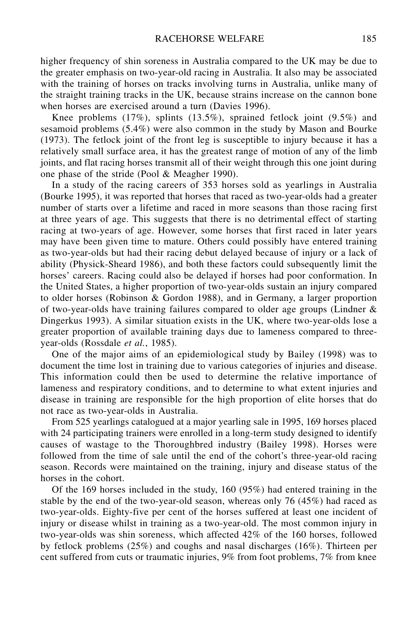higher frequency of shin soreness in Australia compared to the UK may be due to the greater emphasis on two-year-old racing in Australia. It also may be associated with the training of horses on tracks involving turns in Australia, unlike many of the straight training tracks in the UK, because strains increase on the cannon bone when horses are exercised around a turn (Davies 1996).

Knee problems (17%), splints (13.5%), sprained fetlock joint (9.5%) and sesamoid problems (5.4%) were also common in the study by Mason and Bourke (1973). The fetlock joint of the front leg is susceptible to injury because it has a relatively small surface area, it has the greatest range of motion of any of the limb joints, and flat racing horses transmit all of their weight through this one joint during one phase of the stride (Pool & Meagher 1990).

In a study of the racing careers of 353 horses sold as yearlings in Australia (Bourke 1995), it was reported that horses that raced as two-year-olds had a greater number of starts over a lifetime and raced in more seasons than those racing first at three years of age. This suggests that there is no detrimental effect of starting racing at two-years of age. However, some horses that first raced in later years may have been given time to mature. Others could possibly have entered training as two-year-olds but had their racing debut delayed because of injury or a lack of ability (Physick-Sheard 1986), and both these factors could subsequently limit the horses' careers. Racing could also be delayed if horses had poor conformation. In the United States, a higher proportion of two-year-olds sustain an injury compared to older horses (Robinson & Gordon 1988), and in Germany, a larger proportion of two-year-olds have training failures compared to older age groups (Lindner  $\&$ Dingerkus 1993). A similar situation exists in the UK, where two-year-olds lose a greater proportion of available training days due to lameness compared to threeyear-olds (Rossdale *et al.*, 1985).

One of the major aims of an epidemiological study by Bailey (1998) was to document the time lost in training due to various categories of injuries and disease. This information could then be used to determine the relative importance of lameness and respiratory conditions, and to determine to what extent injuries and disease in training are responsible for the high proportion of elite horses that do not race as two-year-olds in Australia.

From 525 yearlings catalogued at a major yearling sale in 1995, 169 horses placed with 24 participating trainers were enrolled in a long-term study designed to identify causes of wastage to the Thoroughbred industry (Bailey 1998). Horses were followed from the time of sale until the end of the cohort's three-year-old racing season. Records were maintained on the training, injury and disease status of the horses in the cohort.

Of the 169 horses included in the study, 160 (95%) had entered training in the stable by the end of the two-year-old season, whereas only 76 (45%) had raced as two-year-olds. Eighty-five per cent of the horses suffered at least one incident of injury or disease whilst in training as a two-year-old. The most common injury in two-year-olds was shin soreness, which affected 42% of the 160 horses, followed by fetlock problems (25%) and coughs and nasal discharges (16%). Thirteen per cent suffered from cuts or traumatic injuries, 9% from foot problems, 7% from knee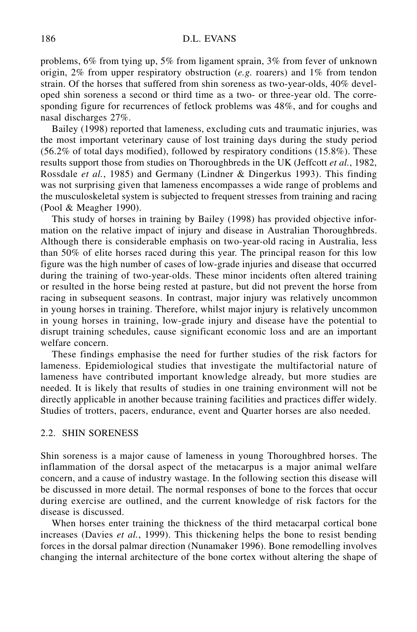problems, 6% from tying up, 5% from ligament sprain, 3% from fever of unknown origin, 2% from upper respiratory obstruction (*e.g.* roarers) and 1% from tendon strain. Of the horses that suffered from shin soreness as two-year-olds, 40% developed shin soreness a second or third time as a two- or three-year old. The corresponding figure for recurrences of fetlock problems was 48%, and for coughs and nasal discharges 27%.

Bailey (1998) reported that lameness, excluding cuts and traumatic injuries, was the most important veterinary cause of lost training days during the study period  $(56.2\%$  of total days modified), followed by respiratory conditions  $(15.8\%)$ . These results support those from studies on Thoroughbreds in the UK (Jeffcott *et al.*, 1982, Rossdale *et al.*, 1985) and Germany (Lindner & Dingerkus 1993). This finding was not surprising given that lameness encompasses a wide range of problems and the musculoskeletal system is subjected to frequent stresses from training and racing (Pool & Meagher 1990).

This study of horses in training by Bailey (1998) has provided objective information on the relative impact of injury and disease in Australian Thoroughbreds. Although there is considerable emphasis on two-year-old racing in Australia, less than 50% of elite horses raced during this year. The principal reason for this low figure was the high number of cases of low-grade injuries and disease that occurred during the training of two-year-olds. These minor incidents often altered training or resulted in the horse being rested at pasture, but did not prevent the horse from racing in subsequent seasons. In contrast, major injury was relatively uncommon in young horses in training. Therefore, whilst major injury is relatively uncommon in young horses in training, low-grade injury and disease have the potential to disrupt training schedules, cause significant economic loss and are an important welfare concern.

These findings emphasise the need for further studies of the risk factors for lameness. Epidemiological studies that investigate the multifactorial nature of lameness have contributed important knowledge already, but more studies are needed. It is likely that results of studies in one training environment will not be directly applicable in another because training facilities and practices differ widely. Studies of trotters, pacers, endurance, event and Quarter horses are also needed.

# 2.2. SHIN SORENESS

Shin soreness is a major cause of lameness in young Thoroughbred horses. The inflammation of the dorsal aspect of the metacarpus is a major animal welfare concern, and a cause of industry wastage. In the following section this disease will be discussed in more detail. The normal responses of bone to the forces that occur during exercise are outlined, and the current knowledge of risk factors for the disease is discussed.

When horses enter training the thickness of the third metacarpal cortical bone increases (Davies *et al.*, 1999). This thickening helps the bone to resist bending forces in the dorsal palmar direction (Nunamaker 1996). Bone remodelling involves changing the internal architecture of the bone cortex without altering the shape of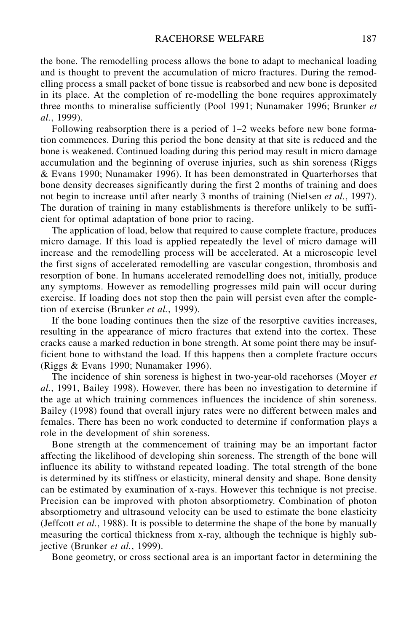the bone. The remodelling process allows the bone to adapt to mechanical loading and is thought to prevent the accumulation of micro fractures. During the remodelling process a small packet of bone tissue is reabsorbed and new bone is deposited in its place. At the completion of re-modelling the bone requires approximately three months to mineralise sufficiently (Pool 1991; Nunamaker 1996; Brunker *et al.*, 1999).

Following reabsorption there is a period of 1–2 weeks before new bone formation commences. During this period the bone density at that site is reduced and the bone is weakened. Continued loading during this period may result in micro damage accumulation and the beginning of overuse injuries, such as shin soreness (Riggs & Evans 1990; Nunamaker 1996). It has been demonstrated in Quarterhorses that bone density decreases significantly during the first 2 months of training and does not begin to increase until after nearly 3 months of training (Nielsen *et al.*, 1997). The duration of training in many establishments is therefore unlikely to be sufficient for optimal adaptation of bone prior to racing.

The application of load, below that required to cause complete fracture, produces micro damage. If this load is applied repeatedly the level of micro damage will increase and the remodelling process will be accelerated. At a microscopic level the first signs of accelerated remodelling are vascular congestion, thrombosis and resorption of bone. In humans accelerated remodelling does not, initially, produce any symptoms. However as remodelling progresses mild pain will occur during exercise. If loading does not stop then the pain will persist even after the completion of exercise (Brunker *et al.*, 1999).

If the bone loading continues then the size of the resorptive cavities increases, resulting in the appearance of micro fractures that extend into the cortex. These cracks cause a marked reduction in bone strength. At some point there may be insufficient bone to withstand the load. If this happens then a complete fracture occurs (Riggs & Evans 1990; Nunamaker 1996).

The incidence of shin soreness is highest in two-year-old racehorses (Moyer *et al.*, 1991, Bailey 1998). However, there has been no investigation to determine if the age at which training commences influences the incidence of shin soreness. Bailey (1998) found that overall injury rates were no different between males and females. There has been no work conducted to determine if conformation plays a role in the development of shin soreness.

Bone strength at the commencement of training may be an important factor affecting the likelihood of developing shin soreness. The strength of the bone will influence its ability to withstand repeated loading. The total strength of the bone is determined by its stiffness or elasticity, mineral density and shape. Bone density can be estimated by examination of x-rays. However this technique is not precise. Precision can be improved with photon absorptiometry. Combination of photon absorptiometry and ultrasound velocity can be used to estimate the bone elasticity (Jeffcott *et al.*, 1988). It is possible to determine the shape of the bone by manually measuring the cortical thickness from x-ray, although the technique is highly subjective (Brunker *et al.*, 1999).

Bone geometry, or cross sectional area is an important factor in determining the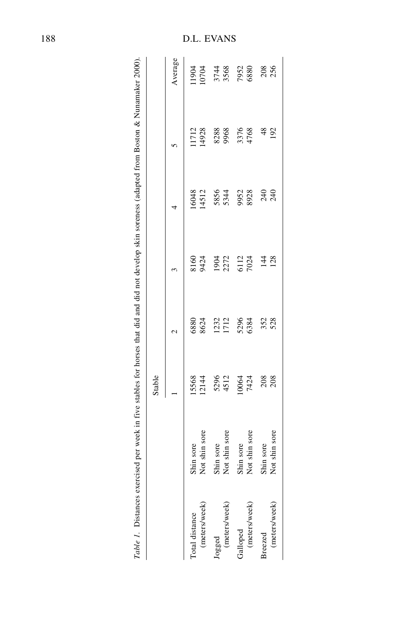|                                 | Table 1. Distances exercised per week in five stables for horses that did and did not develop skin soreness (adapted from Boston & Nunamaker 2000). | Stable         |              |                  |                |                |                |
|---------------------------------|-----------------------------------------------------------------------------------------------------------------------------------------------------|----------------|--------------|------------------|----------------|----------------|----------------|
|                                 |                                                                                                                                                     |                | 2            |                  |                | 5              | Average        |
| (meters/week)<br>Total distance | Not shin sore<br>Shin sore                                                                                                                          | 15568<br>12144 | 6880<br>8624 | 8160<br>9424     | 16048<br>14512 | 14928<br>.1712 | $1904$<br>0704 |
| (meters/week)<br>logged         | Shin sore<br>Not shin sore                                                                                                                          | 5296<br>4512   | 1232<br>1712 | 1904<br>2272     | 5856<br>5344   | 8288<br>9968   | 3744<br>3568   |
| (meters/week)<br>Galloped       | Not shin sore<br>Shin sore                                                                                                                          | 7424<br>.0064  | 5296<br>6384 | 6112<br>7024     | 8928<br>9952   | 3376<br>4768   | 7952<br>6880   |
| (meters/week)<br>Breezed        | Not shin sore<br>Shin sore                                                                                                                          | 208<br>208     | 352<br>528   | $\frac{14}{128}$ | 240<br>240     | 48<br>192      | 208<br>256     |

Table 1. Distances exercised per week in five stables for horses that did and did not develop skin soreness (adapted from Boston & Nunamaker 2000).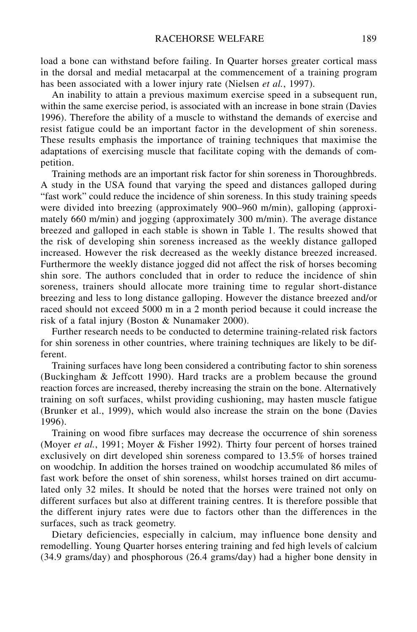load a bone can withstand before failing. In Quarter horses greater cortical mass in the dorsal and medial metacarpal at the commencement of a training program has been associated with a lower injury rate (Nielsen *et al.*, 1997).

An inability to attain a previous maximum exercise speed in a subsequent run, within the same exercise period, is associated with an increase in bone strain (Davies 1996). Therefore the ability of a muscle to withstand the demands of exercise and resist fatigue could be an important factor in the development of shin soreness. These results emphasis the importance of training techniques that maximise the adaptations of exercising muscle that facilitate coping with the demands of competition.

Training methods are an important risk factor for shin soreness in Thoroughbreds. A study in the USA found that varying the speed and distances galloped during "fast work" could reduce the incidence of shin soreness. In this study training speeds were divided into breezing (approximately 900–960 m/min), galloping (approximately 660 m/min) and jogging (approximately 300 m/min). The average distance breezed and galloped in each stable is shown in Table 1. The results showed that the risk of developing shin soreness increased as the weekly distance galloped increased. However the risk decreased as the weekly distance breezed increased. Furthermore the weekly distance jogged did not affect the risk of horses becoming shin sore. The authors concluded that in order to reduce the incidence of shin soreness, trainers should allocate more training time to regular short-distance breezing and less to long distance galloping. However the distance breezed and/or raced should not exceed 5000 m in a 2 month period because it could increase the risk of a fatal injury (Boston & Nunamaker 2000).

Further research needs to be conducted to determine training-related risk factors for shin soreness in other countries, where training techniques are likely to be different.

Training surfaces have long been considered a contributing factor to shin soreness (Buckingham & Jeffcott 1990). Hard tracks are a problem because the ground reaction forces are increased, thereby increasing the strain on the bone. Alternatively training on soft surfaces, whilst providing cushioning, may hasten muscle fatigue (Brunker et al., 1999), which would also increase the strain on the bone (Davies 1996).

Training on wood fibre surfaces may decrease the occurrence of shin soreness (Moyer *et al.*, 1991; Moyer & Fisher 1992). Thirty four percent of horses trained exclusively on dirt developed shin soreness compared to 13.5% of horses trained on woodchip. In addition the horses trained on woodchip accumulated 86 miles of fast work before the onset of shin soreness, whilst horses trained on dirt accumulated only 32 miles. It should be noted that the horses were trained not only on different surfaces but also at different training centres. It is therefore possible that the different injury rates were due to factors other than the differences in the surfaces, such as track geometry.

Dietary deficiencies, especially in calcium, may influence bone density and remodelling. Young Quarter horses entering training and fed high levels of calcium (34.9 grams/day) and phosphorous (26.4 grams/day) had a higher bone density in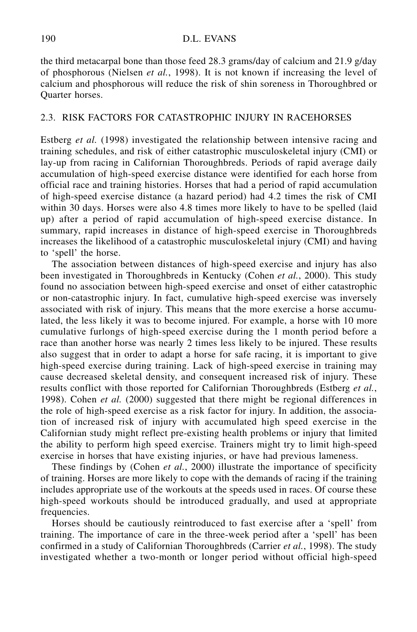the third metacarpal bone than those feed 28.3 grams/day of calcium and 21.9 g/day of phosphorous (Nielsen *et al.*, 1998). It is not known if increasing the level of calcium and phosphorous will reduce the risk of shin soreness in Thoroughbred or Quarter horses.

#### 2.3. RISK FACTORS FOR CATASTROPHIC INJURY IN RACEHORSES

Estberg *et al.* (1998) investigated the relationship between intensive racing and training schedules, and risk of either catastrophic musculoskeletal injury (CMI) or lay-up from racing in Californian Thoroughbreds. Periods of rapid average daily accumulation of high-speed exercise distance were identified for each horse from official race and training histories. Horses that had a period of rapid accumulation of high-speed exercise distance (a hazard period) had 4.2 times the risk of CMI within 30 days. Horses were also 4.8 times more likely to have to be spelled (laid up) after a period of rapid accumulation of high-speed exercise distance. In summary, rapid increases in distance of high-speed exercise in Thoroughbreds increases the likelihood of a catastrophic musculoskeletal injury (CMI) and having to 'spell' the horse.

The association between distances of high-speed exercise and injury has also been investigated in Thoroughbreds in Kentucky (Cohen *et al.*, 2000). This study found no association between high-speed exercise and onset of either catastrophic or non-catastrophic injury. In fact, cumulative high-speed exercise was inversely associated with risk of injury. This means that the more exercise a horse accumulated, the less likely it was to become injured. For example, a horse with 10 more cumulative furlongs of high-speed exercise during the 1 month period before a race than another horse was nearly 2 times less likely to be injured. These results also suggest that in order to adapt a horse for safe racing, it is important to give high-speed exercise during training. Lack of high-speed exercise in training may cause decreased skeletal density, and consequent increased risk of injury. These results conflict with those reported for Californian Thoroughbreds (Estberg *et al.*, 1998). Cohen *et al.* (2000) suggested that there might be regional differences in the role of high-speed exercise as a risk factor for injury. In addition, the association of increased risk of injury with accumulated high speed exercise in the Californian study might reflect pre-existing health problems or injury that limited the ability to perform high speed exercise. Trainers might try to limit high-speed exercise in horses that have existing injuries, or have had previous lameness.

These findings by (Cohen *et al.*, 2000) illustrate the importance of specificity of training. Horses are more likely to cope with the demands of racing if the training includes appropriate use of the workouts at the speeds used in races. Of course these high-speed workouts should be introduced gradually, and used at appropriate frequencies.

Horses should be cautiously reintroduced to fast exercise after a 'spell' from training. The importance of care in the three-week period after a 'spell' has been confirmed in a study of Californian Thoroughbreds (Carrier *et al.*, 1998). The study investigated whether a two-month or longer period without official high-speed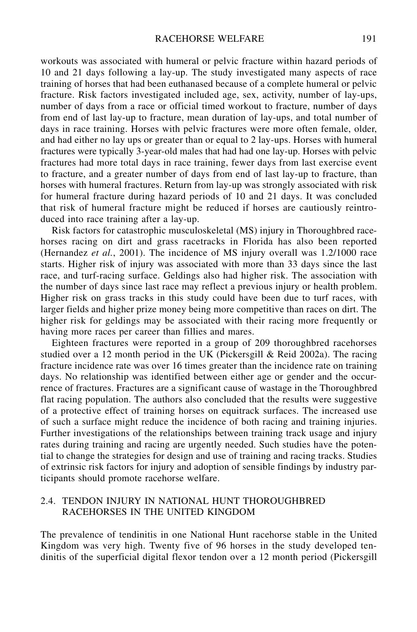workouts was associated with humeral or pelvic fracture within hazard periods of 10 and 21 days following a lay-up. The study investigated many aspects of race training of horses that had been euthanased because of a complete humeral or pelvic fracture. Risk factors investigated included age, sex, activity, number of lay-ups, number of days from a race or official timed workout to fracture, number of days from end of last lay-up to fracture, mean duration of lay-ups, and total number of days in race training. Horses with pelvic fractures were more often female, older, and had either no lay ups or greater than or equal to 2 lay-ups. Horses with humeral fractures were typically 3-year-old males that had had one lay-up. Horses with pelvic fractures had more total days in race training, fewer days from last exercise event to fracture, and a greater number of days from end of last lay-up to fracture, than horses with humeral fractures. Return from lay-up was strongly associated with risk for humeral fracture during hazard periods of 10 and 21 days. It was concluded that risk of humeral fracture might be reduced if horses are cautiously reintroduced into race training after a lay-up.

Risk factors for catastrophic musculoskeletal (MS) injury in Thoroughbred racehorses racing on dirt and grass racetracks in Florida has also been reported (Hernandez *et al.*, 2001). The incidence of MS injury overall was 1.2/1000 race starts. Higher risk of injury was associated with more than 33 days since the last race, and turf-racing surface. Geldings also had higher risk. The association with the number of days since last race may reflect a previous injury or health problem. Higher risk on grass tracks in this study could have been due to turf races, with larger fields and higher prize money being more competitive than races on dirt. The higher risk for geldings may be associated with their racing more frequently or having more races per career than fillies and mares.

Eighteen fractures were reported in a group of 209 thoroughbred racehorses studied over a 12 month period in the UK (Pickersgill  $&$  Reid 2002a). The racing fracture incidence rate was over 16 times greater than the incidence rate on training days. No relationship was identified between either age or gender and the occurrence of fractures. Fractures are a significant cause of wastage in the Thoroughbred flat racing population. The authors also concluded that the results were suggestive of a protective effect of training horses on equitrack surfaces. The increased use of such a surface might reduce the incidence of both racing and training injuries. Further investigations of the relationships between training track usage and injury rates during training and racing are urgently needed. Such studies have the potential to change the strategies for design and use of training and racing tracks. Studies of extrinsic risk factors for injury and adoption of sensible findings by industry participants should promote racehorse welfare.

# 2.4. TENDON INJURY IN NATIONAL HUNT THOROUGHBRED 2.4. RACEHORSES IN THE UNITED KINGDOM

The prevalence of tendinitis in one National Hunt racehorse stable in the United Kingdom was very high. Twenty five of 96 horses in the study developed tendinitis of the superficial digital flexor tendon over a 12 month period (Pickersgill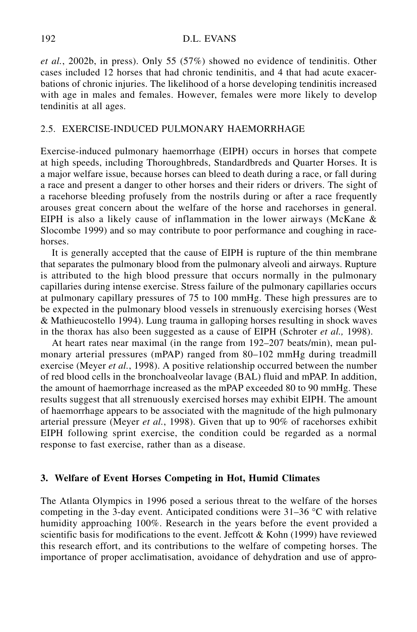*et al.*, 2002b, in press). Only 55 (57%) showed no evidence of tendinitis. Other cases included 12 horses that had chronic tendinitis, and 4 that had acute exacerbations of chronic injuries. The likelihood of a horse developing tendinitis increased with age in males and females. However, females were more likely to develop tendinitis at all ages.

## 2.5. EXERCISE-INDUCED PULMONARY HAEMORRHAGE

Exercise-induced pulmonary haemorrhage (EIPH) occurs in horses that compete at high speeds, including Thoroughbreds, Standardbreds and Quarter Horses. It is a major welfare issue, because horses can bleed to death during a race, or fall during a race and present a danger to other horses and their riders or drivers. The sight of a racehorse bleeding profusely from the nostrils during or after a race frequently arouses great concern about the welfare of the horse and racehorses in general. EIPH is also a likely cause of inflammation in the lower airways (McKane  $\&$ Slocombe 1999) and so may contribute to poor performance and coughing in racehorses.

It is generally accepted that the cause of EIPH is rupture of the thin membrane that separates the pulmonary blood from the pulmonary alveoli and airways. Rupture is attributed to the high blood pressure that occurs normally in the pulmonary capillaries during intense exercise. Stress failure of the pulmonary capillaries occurs at pulmonary capillary pressures of 75 to 100 mmHg. These high pressures are to be expected in the pulmonary blood vessels in strenuously exercising horses (West & Mathieucostello 1994). Lung trauma in galloping horses resulting in shock waves in the thorax has also been suggested as a cause of EIPH (Schroter *et al.,* 1998).

At heart rates near maximal (in the range from 192–207 beats/min), mean pulmonary arterial pressures (mPAP) ranged from 80–102 mmHg during treadmill exercise (Meyer *et al.*, 1998). A positive relationship occurred between the number of red blood cells in the bronchoalveolar lavage (BAL) fluid and mPAP. In addition, the amount of haemorrhage increased as the mPAP exceeded 80 to 90 mmHg. These results suggest that all strenuously exercised horses may exhibit EIPH. The amount of haemorrhage appears to be associated with the magnitude of the high pulmonary arterial pressure (Meyer *et al.*, 1998). Given that up to 90% of racehorses exhibit EIPH following sprint exercise, the condition could be regarded as a normal response to fast exercise, rather than as a disease.

#### **3. Welfare of Event Horses Competing in Hot, Humid Climates**

The Atlanta Olympics in 1996 posed a serious threat to the welfare of the horses competing in the 3-day event. Anticipated conditions were 31–36 °C with relative humidity approaching 100%. Research in the years before the event provided a scientific basis for modifications to the event. Jeffcott & Kohn (1999) have reviewed this research effort, and its contributions to the welfare of competing horses. The importance of proper acclimatisation, avoidance of dehydration and use of appro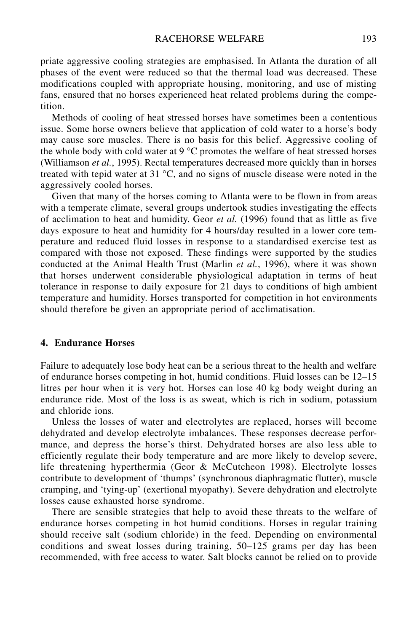priate aggressive cooling strategies are emphasised. In Atlanta the duration of all phases of the event were reduced so that the thermal load was decreased. These modifications coupled with appropriate housing, monitoring, and use of misting fans, ensured that no horses experienced heat related problems during the competition.

Methods of cooling of heat stressed horses have sometimes been a contentious issue. Some horse owners believe that application of cold water to a horse's body may cause sore muscles. There is no basis for this belief. Aggressive cooling of the whole body with cold water at  $9^{\circ}$ C promotes the welfare of heat stressed horses (Williamson *et al.*, 1995). Rectal temperatures decreased more quickly than in horses treated with tepid water at 31  $\degree$ C, and no signs of muscle disease were noted in the aggressively cooled horses.

Given that many of the horses coming to Atlanta were to be flown in from areas with a temperate climate, several groups undertook studies investigating the effects of acclimation to heat and humidity. Geor *et al.* (1996) found that as little as five days exposure to heat and humidity for 4 hours/day resulted in a lower core temperature and reduced fluid losses in response to a standardised exercise test as compared with those not exposed. These findings were supported by the studies conducted at the Animal Health Trust (Marlin *et al.*, 1996), where it was shown that horses underwent considerable physiological adaptation in terms of heat tolerance in response to daily exposure for 21 days to conditions of high ambient temperature and humidity. Horses transported for competition in hot environments should therefore be given an appropriate period of acclimatisation.

#### **4. Endurance Horses**

Failure to adequately lose body heat can be a serious threat to the health and welfare of endurance horses competing in hot, humid conditions. Fluid losses can be 12–15 litres per hour when it is very hot. Horses can lose 40 kg body weight during an endurance ride. Most of the loss is as sweat, which is rich in sodium, potassium and chloride ions.

Unless the losses of water and electrolytes are replaced, horses will become dehydrated and develop electrolyte imbalances. These responses decrease performance, and depress the horse's thirst. Dehydrated horses are also less able to efficiently regulate their body temperature and are more likely to develop severe, life threatening hyperthermia (Geor & McCutcheon 1998). Electrolyte losses contribute to development of 'thumps' (synchronous diaphragmatic flutter), muscle cramping, and 'tying-up' (exertional myopathy). Severe dehydration and electrolyte losses cause exhausted horse syndrome.

There are sensible strategies that help to avoid these threats to the welfare of endurance horses competing in hot humid conditions. Horses in regular training should receive salt (sodium chloride) in the feed. Depending on environmental conditions and sweat losses during training, 50–125 grams per day has been recommended, with free access to water. Salt blocks cannot be relied on to provide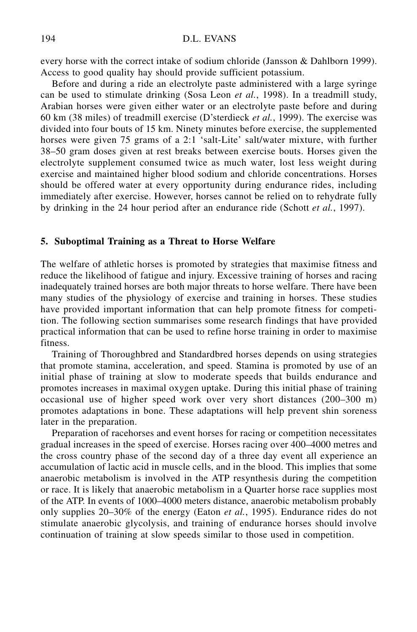every horse with the correct intake of sodium chloride (Jansson & Dahlborn 1999). Access to good quality hay should provide sufficient potassium.

Before and during a ride an electrolyte paste administered with a large syringe can be used to stimulate drinking (Sosa Leon *et al.*, 1998). In a treadmill study, Arabian horses were given either water or an electrolyte paste before and during 60 km (38 miles) of treadmill exercise (D'sterdieck *et al.*, 1999). The exercise was divided into four bouts of 15 km. Ninety minutes before exercise, the supplemented horses were given 75 grams of a 2:1 'salt-Lite' salt/water mixture, with further 38–50 gram doses given at rest breaks between exercise bouts. Horses given the electrolyte supplement consumed twice as much water, lost less weight during exercise and maintained higher blood sodium and chloride concentrations. Horses should be offered water at every opportunity during endurance rides, including immediately after exercise. However, horses cannot be relied on to rehydrate fully by drinking in the 24 hour period after an endurance ride (Schott *et al.*, 1997).

#### **5. Suboptimal Training as a Threat to Horse Welfare**

The welfare of athletic horses is promoted by strategies that maximise fitness and reduce the likelihood of fatigue and injury. Excessive training of horses and racing inadequately trained horses are both major threats to horse welfare. There have been many studies of the physiology of exercise and training in horses. These studies have provided important information that can help promote fitness for competition. The following section summarises some research findings that have provided practical information that can be used to refine horse training in order to maximise fitness.

Training of Thoroughbred and Standardbred horses depends on using strategies that promote stamina, acceleration, and speed. Stamina is promoted by use of an initial phase of training at slow to moderate speeds that builds endurance and promotes increases in maximal oxygen uptake. During this initial phase of training occasional use of higher speed work over very short distances (200–300 m) promotes adaptations in bone. These adaptations will help prevent shin soreness later in the preparation.

Preparation of racehorses and event horses for racing or competition necessitates gradual increases in the speed of exercise. Horses racing over 400–4000 metres and the cross country phase of the second day of a three day event all experience an accumulation of lactic acid in muscle cells, and in the blood. This implies that some anaerobic metabolism is involved in the ATP resynthesis during the competition or race. It is likely that anaerobic metabolism in a Quarter horse race supplies most of the ATP. In events of 1000–4000 meters distance, anaerobic metabolism probably only supplies 20–30% of the energy (Eaton *et al.*, 1995). Endurance rides do not stimulate anaerobic glycolysis, and training of endurance horses should involve continuation of training at slow speeds similar to those used in competition.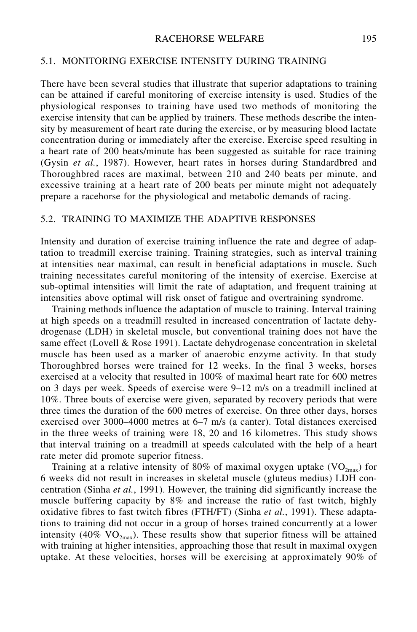#### RACEHORSE WELFARE 195

#### 5.1. MONITORING EXERCISE INTENSITY DURING TRAINING

There have been several studies that illustrate that superior adaptations to training can be attained if careful monitoring of exercise intensity is used. Studies of the physiological responses to training have used two methods of monitoring the exercise intensity that can be applied by trainers. These methods describe the intensity by measurement of heart rate during the exercise, or by measuring blood lactate concentration during or immediately after the exercise. Exercise speed resulting in a heart rate of 200 beats/minute has been suggested as suitable for race training (Gysin *et al.*, 1987). However, heart rates in horses during Standardbred and Thoroughbred races are maximal, between 210 and 240 beats per minute, and excessive training at a heart rate of 200 beats per minute might not adequately prepare a racehorse for the physiological and metabolic demands of racing.

# 5.2. TRAINING TO MAXIMIZE THE ADAPTIVE RESPONSES

Intensity and duration of exercise training influence the rate and degree of adaptation to treadmill exercise training. Training strategies, such as interval training at intensities near maximal, can result in beneficial adaptations in muscle. Such training necessitates careful monitoring of the intensity of exercise. Exercise at sub-optimal intensities will limit the rate of adaptation, and frequent training at intensities above optimal will risk onset of fatigue and overtraining syndrome.

Training methods influence the adaptation of muscle to training. Interval training at high speeds on a treadmill resulted in increased concentration of lactate dehydrogenase (LDH) in skeletal muscle, but conventional training does not have the same effect (Lovell & Rose 1991). Lactate dehydrogenase concentration in skeletal muscle has been used as a marker of anaerobic enzyme activity. In that study Thoroughbred horses were trained for 12 weeks. In the final 3 weeks, horses exercised at a velocity that resulted in 100% of maximal heart rate for 600 metres on 3 days per week. Speeds of exercise were 9–12 m/s on a treadmill inclined at 10%. Three bouts of exercise were given, separated by recovery periods that were three times the duration of the 600 metres of exercise. On three other days, horses exercised over 3000–4000 metres at 6–7 m/s (a canter). Total distances exercised in the three weeks of training were 18, 20 and 16 kilometres. This study shows that interval training on a treadmill at speeds calculated with the help of a heart rate meter did promote superior fitness.

Training at a relative intensity of 80% of maximal oxygen uptake  $(VO_{2max})$  for 6 weeks did not result in increases in skeletal muscle (gluteus medius) LDH concentration (Sinha *et al.*, 1991). However, the training did significantly increase the muscle buffering capacity by 8% and increase the ratio of fast twitch, highly oxidative fibres to fast twitch fibres (FTH/FT) (Sinha *et al.*, 1991). These adaptations to training did not occur in a group of horses trained concurrently at a lower intensity (40%  $VO_{2max}$ ). These results show that superior fitness will be attained with training at higher intensities, approaching those that result in maximal oxygen uptake. At these velocities, horses will be exercising at approximately 90% of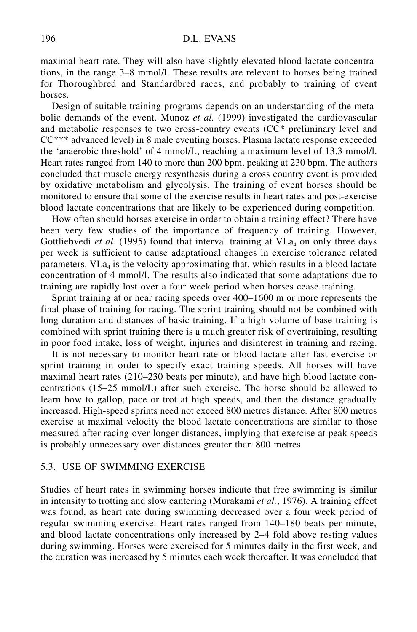maximal heart rate. They will also have slightly elevated blood lactate concentrations, in the range 3–8 mmol/l. These results are relevant to horses being trained for Thoroughbred and Standardbred races, and probably to training of event horses.

Design of suitable training programs depends on an understanding of the metabolic demands of the event. Munoz *et al.* (1999) investigated the cardiovascular and metabolic responses to two cross-country events (CC\* preliminary level and CC\*\*\* advanced level) in 8 male eventing horses. Plasma lactate response exceeded the 'anaerobic threshold' of 4 mmol/L, reaching a maximum level of 13.3 mmol/l. Heart rates ranged from 140 to more than 200 bpm, peaking at 230 bpm. The authors concluded that muscle energy resynthesis during a cross country event is provided by oxidative metabolism and glycolysis. The training of event horses should be monitored to ensure that some of the exercise results in heart rates and post-exercise blood lactate concentrations that are likely to be experienced during competition.

How often should horses exercise in order to obtain a training effect? There have been very few studies of the importance of frequency of training. However, Gottliebvedi *et al.* (1995) found that interval training at  $VLa<sub>4</sub>$  on only three days per week is sufficient to cause adaptational changes in exercise tolerance related parameters.  $VL_{a_4}$  is the velocity approximating that, which results in a blood lactate concentration of 4 mmol/l. The results also indicated that some adaptations due to training are rapidly lost over a four week period when horses cease training.

Sprint training at or near racing speeds over 400–1600 m or more represents the final phase of training for racing. The sprint training should not be combined with long duration and distances of basic training. If a high volume of base training is combined with sprint training there is a much greater risk of overtraining, resulting in poor food intake, loss of weight, injuries and disinterest in training and racing.

It is not necessary to monitor heart rate or blood lactate after fast exercise or sprint training in order to specify exact training speeds. All horses will have maximal heart rates (210–230 beats per minute), and have high blood lactate concentrations (15–25 mmol/L) after such exercise. The horse should be allowed to learn how to gallop, pace or trot at high speeds, and then the distance gradually increased. High-speed sprints need not exceed 800 metres distance. After 800 metres exercise at maximal velocity the blood lactate concentrations are similar to those measured after racing over longer distances, implying that exercise at peak speeds is probably unnecessary over distances greater than 800 metres.

#### 5.3. USE OF SWIMMING EXERCISE

Studies of heart rates in swimming horses indicate that free swimming is similar in intensity to trotting and slow cantering (Murakami *et al.*, 1976). A training effect was found, as heart rate during swimming decreased over a four week period of regular swimming exercise. Heart rates ranged from 140–180 beats per minute, and blood lactate concentrations only increased by 2–4 fold above resting values during swimming. Horses were exercised for 5 minutes daily in the first week, and the duration was increased by 5 minutes each week thereafter. It was concluded that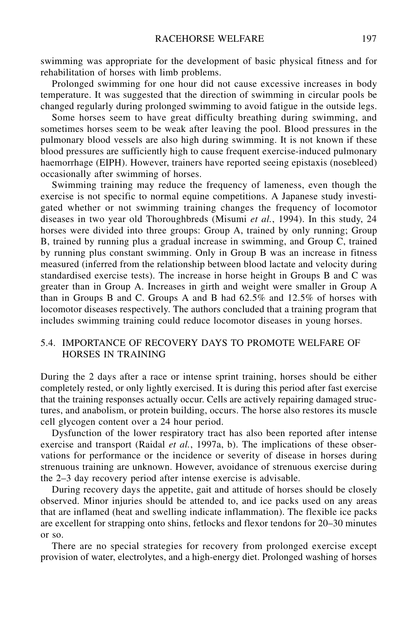swimming was appropriate for the development of basic physical fitness and for rehabilitation of horses with limb problems.

Prolonged swimming for one hour did not cause excessive increases in body temperature. It was suggested that the direction of swimming in circular pools be changed regularly during prolonged swimming to avoid fatigue in the outside legs.

Some horses seem to have great difficulty breathing during swimming, and sometimes horses seem to be weak after leaving the pool. Blood pressures in the pulmonary blood vessels are also high during swimming. It is not known if these blood pressures are sufficiently high to cause frequent exercise-induced pulmonary haemorrhage (EIPH). However, trainers have reported seeing epistaxis (nosebleed) occasionally after swimming of horses.

Swimming training may reduce the frequency of lameness, even though the exercise is not specific to normal equine competitions. A Japanese study investigated whether or not swimming training changes the frequency of locomotor diseases in two year old Thoroughbreds (Misumi *et al.*, 1994). In this study, 24 horses were divided into three groups: Group A, trained by only running; Group B, trained by running plus a gradual increase in swimming, and Group C, trained by running plus constant swimming. Only in Group B was an increase in fitness measured (inferred from the relationship between blood lactate and velocity during standardised exercise tests). The increase in horse height in Groups B and C was greater than in Group A. Increases in girth and weight were smaller in Group A than in Groups B and C. Groups A and B had 62.5% and 12.5% of horses with locomotor diseases respectively. The authors concluded that a training program that includes swimming training could reduce locomotor diseases in young horses.

# 5.4. IMPORTANCE OF RECOVERY DAYS TO PROMOTE WELFARE OF 5.4. HORSES IN TRAINING

During the 2 days after a race or intense sprint training, horses should be either completely rested, or only lightly exercised. It is during this period after fast exercise that the training responses actually occur. Cells are actively repairing damaged structures, and anabolism, or protein building, occurs. The horse also restores its muscle cell glycogen content over a 24 hour period.

Dysfunction of the lower respiratory tract has also been reported after intense exercise and transport (Raidal *et al.*, 1997a, b). The implications of these observations for performance or the incidence or severity of disease in horses during strenuous training are unknown. However, avoidance of strenuous exercise during the 2–3 day recovery period after intense exercise is advisable.

During recovery days the appetite, gait and attitude of horses should be closely observed. Minor injuries should be attended to, and ice packs used on any areas that are inflamed (heat and swelling indicate inflammation). The flexible ice packs are excellent for strapping onto shins, fetlocks and flexor tendons for 20–30 minutes or so.

There are no special strategies for recovery from prolonged exercise except provision of water, electrolytes, and a high-energy diet. Prolonged washing of horses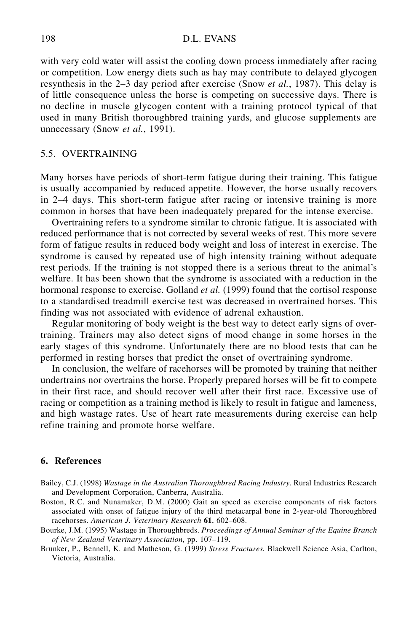with very cold water will assist the cooling down process immediately after racing or competition. Low energy diets such as hay may contribute to delayed glycogen resynthesis in the 2–3 day period after exercise (Snow *et al.*, 1987). This delay is of little consequence unless the horse is competing on successive days. There is no decline in muscle glycogen content with a training protocol typical of that used in many British thoroughbred training yards, and glucose supplements are unnecessary (Snow *et al.*, 1991).

#### 5.5. OVERTRAINING

Many horses have periods of short-term fatigue during their training. This fatigue is usually accompanied by reduced appetite. However, the horse usually recovers in 2–4 days. This short-term fatigue after racing or intensive training is more common in horses that have been inadequately prepared for the intense exercise.

Overtraining refers to a syndrome similar to chronic fatigue. It is associated with reduced performance that is not corrected by several weeks of rest. This more severe form of fatigue results in reduced body weight and loss of interest in exercise. The syndrome is caused by repeated use of high intensity training without adequate rest periods. If the training is not stopped there is a serious threat to the animal's welfare. It has been shown that the syndrome is associated with a reduction in the hormonal response to exercise. Golland *et al.* (1999) found that the cortisol response to a standardised treadmill exercise test was decreased in overtrained horses. This finding was not associated with evidence of adrenal exhaustion.

Regular monitoring of body weight is the best way to detect early signs of overtraining. Trainers may also detect signs of mood change in some horses in the early stages of this syndrome. Unfortunately there are no blood tests that can be performed in resting horses that predict the onset of overtraining syndrome.

In conclusion, the welfare of racehorses will be promoted by training that neither undertrains nor overtrains the horse. Properly prepared horses will be fit to compete in their first race, and should recover well after their first race. Excessive use of racing or competition as a training method is likely to result in fatigue and lameness, and high wastage rates. Use of heart rate measurements during exercise can help refine training and promote horse welfare.

#### **6. References**

- Bailey, C.J. (1998) *Wastage in the Australian Thoroughbred Racing Industry*. Rural Industries Research and Development Corporation, Canberra, Australia.
- Boston, R.C. and Nunamaker, D.M. (2000) Gait an speed as exercise components of risk factors associated with onset of fatigue injury of the third metacarpal bone in 2-year-old Thoroughbred racehorses. *American J. Veterinary Research* **61**, 602–608.
- Bourke, J.M. (1995) Wastage in Thoroughbreds. *Proceedings of Annual Seminar of the Equine Branch of New Zealand Veterinary Association*, pp. 107–119.
- Brunker, P., Bennell, K. and Matheson, G. (1999) *Stress Fractures.* Blackwell Science Asia, Carlton, Victoria, Australia.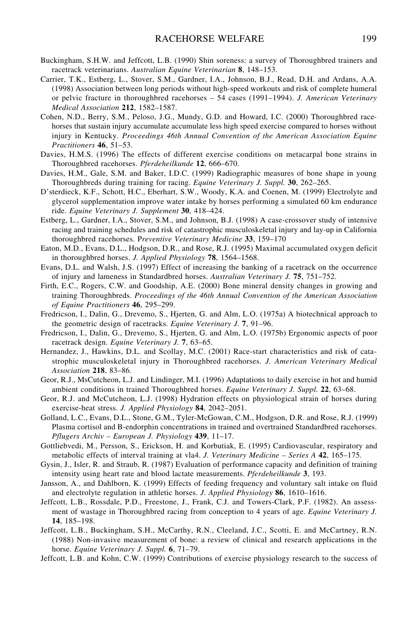- Buckingham, S.H.W. and Jeffcott, L.B. (1990) Shin soreness: a survey of Thoroughbred trainers and racetrack veterinarians. *Australian Equine Veterinarian* **8**, 148–153.
- Carrier, T.K., Estberg, L., Stover, S.M., Gardner, I.A., Johnson, B.J., Read, D.H. and Ardans, A.A. (1998) Association between long periods without high-speed workouts and risk of complete humeral or pelvic fracture in thoroughbred racehorses – 54 cases (1991–1994). *J. American Veterinary Medical Association* **212**, 1582–1587.
- Cohen, N.D., Berry, S.M., Peloso, J.G., Mundy, G.D. and Howard, I.C. (2000) Thoroughbred racehorses that sustain injury accumulate accumulate less high speed exercise compared to horses without injury in Kentucky. *Proceedings 46th Annual Convention of the American Association Equine Practitioners* **46**, 51–53.
- Davies, H.M.S. (1996) The effects of different exercise conditions on metacarpal bone strains in Thoroughbred racehorses. *Pferdeheilkunde* **12**, 666–670.
- Davies, H.M., Gale, S.M. and Baker, I.D.C. (1999) Radiographic measures of bone shape in young Thoroughbreds during training for racing. *Equine Veterinary J. Suppl.* **30**, 262–265.
- D'sterdieck, K.F., Schott, H.C., Eberhart, S.W., Woody, K.A. and Coenen, M. (1999) Electrolyte and glycerol supplementation improve water intake by horses performing a simulated 60 km endurance ride. *Equine Veterinary J. Supplement* **30**, 418–424.
- Estberg, L., Gardner, I.A., Stover, S.M., and Johnson, B.J. (1998) A case-crossover study of intensive racing and training schedules and risk of catastrophic musculoskeletal injury and lay-up in California thoroughbred racehorses. P*reventive Veterinary Medicine* **33**, 159–170
- Eaton, M.D., Evans, D.L., Hodgson, D.R., and Rose, R.J. (1995) Maximal accumulated oxygen deficit in thoroughbred horses. *J. Applied Physiology* **78**, 1564–1568.
- Evans, D.L. and Walsh, J.S. (1997) Effect of increasing the banking of a racetrack on the occurrence of injury and lameness in Standardbred horses. *Australian Veterinary J.* **75**, 751–752.
- Firth, E.C., Rogers, C.W. and Goodship, A.E. (2000) Bone mineral density changes in growing and training Thoroughbreds. *Proceedings of the 46th Annual Convention of the American Association of Equine Practitioners* **46**, 295–299.
- Fredricson, I., Dalin, G., Drevemo, S., Hjerten, G. and Alm, L.O. (1975a) A biotechnical approach to the geometric design of racetracks. *Equine Veterinary J.* **7**, 91–96.
- Fredricson, I., Dalin, G., Drevemo, S., Hjerten, G. and Alm, L.O. (1975b) Ergonomic aspects of poor racetrack design. *Equine Veterinary J.* **7**, 63–65.
- Hernandez, J., Hawkins, D.L. and Scollay, M.C. (2001) Race-start characteristics and risk of catastrophic musculoskeletal injury in Thoroughbred racehorses. *J. American Veterinary Medical Association* **218**, 83–86.
- Geor, R.J., MsCutcheon, L.J. and Lindinger, M.I. (1996) Adaptations to daily exercise in hot and humid ambient conditions in trained Thoroughbred horses. *Equine Veterinary J. Suppl.* **22**, 63–68.
- Geor, R.J. and McCutcheon, L.J. (1998) Hydration effects on physiological strain of horses during exercise-heat stress. *J. Applied Physiology* **84**, 2042–2051.
- Golland, L.C., Evans, D.L., Stone, G.M., Tyler-McGowan, C.M., Hodgson, D.R. and Rose, R.J. (1999) Plasma cortisol and B-endorphin concentrations in trained and overtrained Standardbred racehorses. *Pflugers Archiv – European J. Physiology* **439**, 11–17.
- Gottliebvedi, M., Persson, S., Erickson, H. and Korbutiak, E. (1995) Cardiovascular, respiratory and metabolic effects of interval training at vla4. *J. Veterinary Medicine – Series A* **42**, 165–175.
- Gysin, J., Isler, R. and Straub, R. (1987) Evaluation of performance capacity and definition of training intensity using heart rate and blood lactate measurements. *Pferdeheilkunde* **3**, 193.
- Jansson, A., and Dahlborn, K. (1999) Effects of feeding frequency and voluntary salt intake on fluid and electrolyte regulation in athletic horses. *J. Applied Physiology* **86**, 1610–1616.
- Jeffcott, L.B., Rossdale, P.D., Freestone, J., Frank, C.J. and Towers-Clark, P.F. (1982). An assessment of wastage in Thoroughbred racing from conception to 4 years of age. *Equine Veterinary J.* **14**, 185–198.
- Jeffcott, L.B., Buckingham, S.H., McCarthy, R.N., Cleeland, J.C., Scotti, E. and McCartney, R.N. (1988) Non-invasive measurement of bone: a review of clinical and research applications in the horse. *Equine Veterinary J. Suppl.* **6**, 71–79.
- Jeffcott, L.B. and Kohn, C.W. (1999) Contributions of exercise physiology research to the success of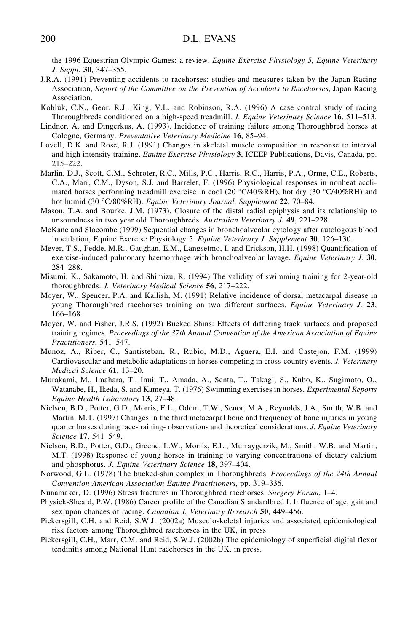#### 200 D.L. EVANS

the 1996 Equestrian Olympic Games: a review. *Equine Exercise Physiology 5, Equine Veterinary J. Suppl.* **30**, 347–355.

- J.R.A. (1991) Preventing accidents to racehorses: studies and measures taken by the Japan Racing Association, *Report of the Committee on the Prevention of Accidents to Racehorses*, Japan Racing Association.
- Kobluk, C.N., Geor, R.J., King, V.L. and Robinson, R.A. (1996) A case control study of racing Thoroughbreds conditioned on a high-speed treadmill. *J. Equine Veterinary Science* **16**, 511–513.
- Lindner, A. and Dingerkus, A. (1993). Incidence of training failure among Thoroughbred horses at Cologne, Germany. *Preventative Veterinary Medicine* **16**, 85–94.
- Lovell, D.K. and Rose, R.J. (1991) Changes in skeletal muscle composition in response to interval and high intensity training. *Equine Exercise Physiology* **3**, ICEEP Publications, Davis, Canada, pp. 215–222.
- Marlin, D.J., Scott, C.M., Schroter, R.C., Mills, P.C., Harris, R.C., Harris, P.A., Orme, C.E., Roberts, C.A., Marr, C.M., Dyson, S.J. and Barrelet, F. (1996) Physiological responses in nonheat acclimated horses performing treadmill exercise in cool (20 °C/40%RH), hot dry (30 °C/40%RH) and hot humid (30 °C/80%RH). *Equine Veterinary Journal. Supplement* **22**, 70–84.
- Mason, T.A. and Bourke, J.M. (1973). Closure of the distal radial epiphysis and its relationship to unsoundness in two year old Thoroughbreds. *Australian Veterinary J.* **49**, 221–228.
- McKane and Slocombe (1999) Sequential changes in bronchoalveolar cytology after autologous blood inoculation, Equine Exercise Physiology 5. *Equine Veterinary J. Supplement* **30**, 126–130.
- Meyer, T.S., Fedde, M.R., Gaughan, E.M., Langsetmo, I. and Erickson, H.H. (1998) Quantification of exercise-induced pulmonary haemorrhage with bronchoalveolar lavage. *Equine Veterinary J.* **30**, 284–288.
- Misumi, K., Sakamoto, H. and Shimizu, R. (1994) The validity of swimming training for 2-year-old thoroughbreds. *J. Veterinary Medical Science* **56**, 217–222.
- Moyer, W., Spencer, P.A. and Kallish, M. (1991) Relative incidence of dorsal metacarpal disease in young Thoroughbred racehorses training on two different surfaces. *Equine Veterinary J.* **23**, 166–168.
- Moyer, W. and Fisher, J.R.S. (1992) Bucked Shins: Effects of differing track surfaces and proposed training regimes. *Proceedings of the 37th Annual Convention of the American Association of Equine Practitioners*, 541–547.
- Munoz, A., Riber, C., Santisteban, R., Rubio, M.D., Aguera, E.I. and Castejon, F.M. (1999) Cardiovascular and metabolic adaptations in horses competing in cross-country events. *J. Veterinary Medical Science* **61**, 13–20.
- Murakami, M., Imahara, T., Inui, T., Amada, A., Senta, T., Takagi, S., Kubo, K., Sugimoto, O., Watanabe, H., Ikeda, S. and Kameya, T. (1976) Swimming exercises in horses. *Experimental Reports Equine Health Laboratory* **13**, 27–48.
- Nielsen, B.D., Potter, G.D., Morris, E.L., Odom, T.W., Senor, M.A., Reynolds, J.A., Smith, W.B. and Martin, M.T. (1997) Changes in the third metacarpal bone and frequency of bone injuries in young quarter horses during race-training- observations and theoretical considerations. *J. Equine Veterinary Science* **17**, 541–549.
- Nielsen, B.D., Potter, G.D., Greene, L.W., Morris, E.L., Murraygerzik, M., Smith, W.B. and Martin, M.T. (1998) Response of young horses in training to varying concentrations of dietary calcium and phosphorus. *J. Equine Veterinary Science* **18**, 397–404.
- Norwood, G.L. (1978) The bucked-shin complex in Thoroughbreds. *Proceedings of the 24th Annual Convention American Association Equine Practitioners*, pp. 319–336.
- Nunamaker, D. (1996) Stress fractures in Thoroughbred racehorses. *Surgery Forum*, 1–4.
- Physick-Sheard, P.W. (1986) Career profile of the Canadian Standardbred I. Influence of age, gait and sex upon chances of racing. *Canadian J. Veterinary Research* **50**, 449–456.
- Pickersgill, C.H. and Reid, S.W.J. (2002a) Musculoskeletal injuries and associated epidemiological risk factors among Thoroughbred racehorses in the UK, in press.
- Pickersgill, C.H., Marr, C.M. and Reid, S.W.J. (2002b) The epidemiology of superficial digital flexor tendinitis among National Hunt racehorses in the UK, in press.